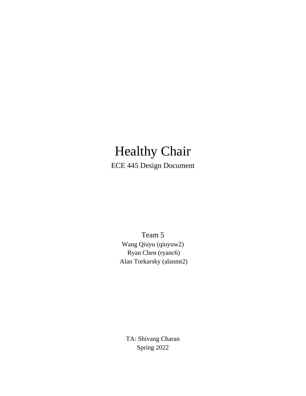# Healthy Chair ECE 445 Design Document

Team 5 Wang Qiuyu (qiuyuw2) Ryan Chen (ryanc6) Alan Torkarsky (alanmt2)

TA: Shivang Charan Spring 2022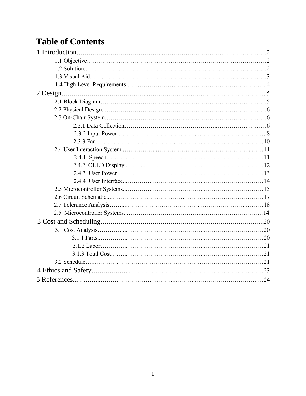# **Table of Contents**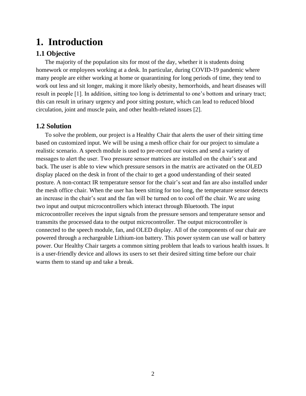## **1. Introduction**

## **1.1 Objective**

 The majority of the population sits for most of the day, whether it is students doing homework or employees working at a desk. In particular, during COVID-19 pandemic where many people are either working at home or quarantining for long periods of time, they tend to work out less and sit longer, making it more likely obesity, hemorrhoids, and heart diseases will result in people [1]. In addition, sitting too long is detrimental to one's bottom and urinary tract; this can result in urinary urgency and poor sitting posture, which can lead to reduced blood circulation, joint and muscle pain, and other health-related issues [2].

### **1.2 Solution**

 To solve the problem, our project is a Healthy Chair that alerts the user of their sitting time based on customized input. We will be using a mesh office chair for our project to simulate a realistic scenario. A speech module is used to pre-record our voices and send a variety of messages to alert the user. Two pressure sensor matrices are installed on the chair's seat and back. The user is able to view which pressure sensors in the matrix are activated on the OLED display placed on the desk in front of the chair to get a good understanding of their seated posture. A non-contact IR temperature sensor for the chair's seat and fan are also installed under the mesh office chair. When the user has been sitting for too long, the temperature sensor detects an increase in the chair's seat and the fan will be turned on to cool off the chair. We are using two input and output microcontrollers which interact through Bluetooth. The input microcontroller receives the input signals from the pressure sensors and temperature sensor and transmits the processed data to the output microcontroller. The output microcontroller is connected to the speech module, fan, and OLED display. All of the components of our chair are powered through a rechargeable Lithium-ion battery. This power system can use wall or battery power. Our Healthy Chair targets a common sitting problem that leads to various health issues. It is a user-friendly device and allows its users to set their desired sitting time before our chair warns them to stand up and take a break.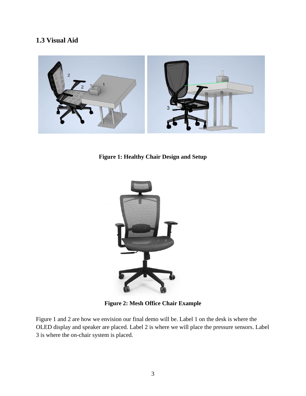## **1.3 Visual Aid**



**Figure 1: Healthy Chair Design and Setup** 



**Figure 2: Mesh Office Chair Example**

Figure 1 and 2 are how we envision our final demo will be. Label 1 on the desk is where the OLED display and speaker are placed. Label 2 is where we will place the pressure sensors. Label 3 is where the on-chair system is placed.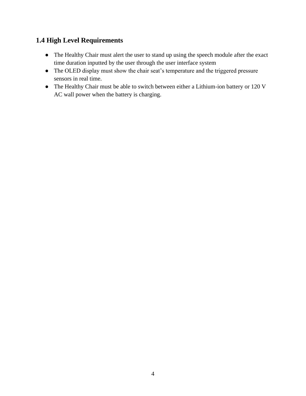## **1.4 High Level Requirements**

- The Healthy Chair must alert the user to stand up using the speech module after the exact time duration inputted by the user through the user interface system
- The OLED display must show the chair seat's temperature and the triggered pressure sensors in real time.
- The Healthy Chair must be able to switch between either a Lithium-ion battery or 120 V AC wall power when the battery is charging.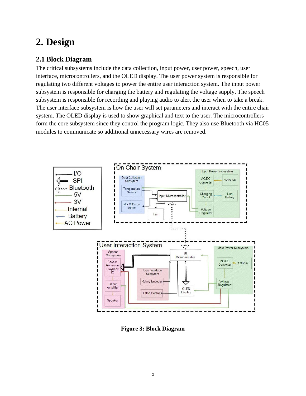# **2. Design**

## **2.1 Block Diagram**

The critical subsystems include the data collection, input power, user power, speech, user interface, microcontrollers, and the OLED display. The user power system is responsible for regulating two different voltages to power the entire user interaction system. The input power subsystem is responsible for charging the battery and regulating the voltage supply. The speech subsystem is responsible for recording and playing audio to alert the user when to take a break. The user interface subsystem is how the user will set parameters and interact with the entire chair system. The OLED display is used to show graphical and text to the user. The microcontrollers form the core subsystem since they control the program logic. They also use Bluetooth via HC05 modules to communicate so additional unnecessary wires are removed.



**Figure 3: Block Diagram**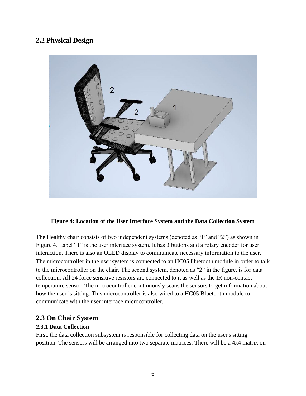### **2.2 Physical Design**



#### **Figure 4: Location of the User Interface System and the Data Collection System**

The Healthy chair consists of two independent systems (denoted as "1" and "2") as shown in Figure 4. Label "1" is the user interface system. It has 3 buttons and a rotary encoder for user interaction. There is also an OLED display to communicate necessary information to the user. The microcontroller in the user system is connected to an HC05 Bluetooth module in order to talk to the microcontroller on the chair. The second system, denoted as "2" in the figure, is for data collection. All 24 force sensitive resistors are connected to it as well as the IR non-contact temperature sensor. The microcontroller continuously scans the sensors to get information about how the user is sitting. This microcontroller is also wired to a HC05 Bluetooth module to communicate with the user interface microcontroller.

#### **2.3 On Chair System**

#### **2.3.1 Data Collection**

First, the data collection subsystem is responsible for collecting data on the user's sitting position. The sensors will be arranged into two separate matrices. There will be a 4x4 matrix on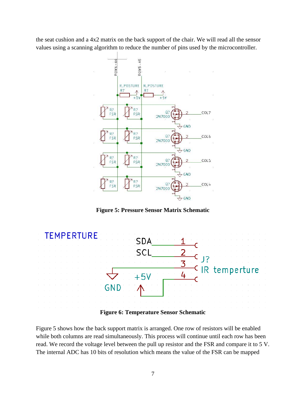the seat cushion and a 4x2 matrix on the back support of the chair. We will read all the sensor values using a scanning algorithm to reduce the number of pins used by the microcontroller.



**Figure 5: Pressure Sensor Matrix Schematic**



Figure 5 shows how the back support matrix is arranged. One row of resistors will be enabled while both columns are read simultaneously. This process will continue until each row has been read. We record the voltage level between the pull up resistor and the FSR and compare it to 5 V. The internal ADC has 10 bits of resolution which means the value of the FSR can be mapped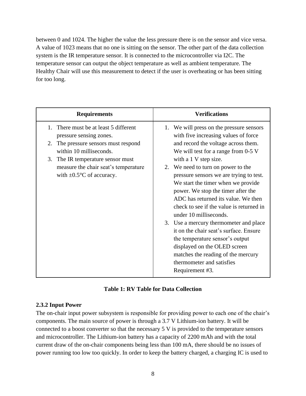between 0 and 1024. The higher the value the less pressure there is on the sensor and vice versa. A value of 1023 means that no one is sitting on the sensor. The other part of the data collection system is the IR temperature sensor. It is connected to the microcontroller via I2C. The temperature sensor can output the object temperature as well as ambient temperature. The Healthy Chair will use this measurement to detect if the user is overheating or has been sitting for too long.

| <b>Requirements</b>                                                                                                | <b>Verifications</b>                                                                                                                                                                                                                                                                                                                                                                                                                                   |
|--------------------------------------------------------------------------------------------------------------------|--------------------------------------------------------------------------------------------------------------------------------------------------------------------------------------------------------------------------------------------------------------------------------------------------------------------------------------------------------------------------------------------------------------------------------------------------------|
| There must be at least 5 different<br>$1_{-}$<br>pressure sensing zones.                                           | 1. We will press on the pressure sensors<br>with five increasing values of force                                                                                                                                                                                                                                                                                                                                                                       |
| The pressure sensors must respond<br>2.<br>within 10 milliseconds.                                                 | and record the voltage across them.<br>We will test for a range from 0-5 V                                                                                                                                                                                                                                                                                                                                                                             |
| 3. The IR temperature sensor must<br>measure the chair seat's temperature<br>with $\pm 0.5^{\circ}$ C of accuracy. | with a 1 V step size.<br>2. We need to turn on power to the<br>pressure sensors we are trying to test.<br>We start the timer when we provide<br>power. We stop the timer after the<br>ADC has returned its value. We then<br>check to see if the value is returned in<br>under 10 milliseconds.<br>3. Use a mercury thermometer and place<br>it on the chair seat's surface. Ensure<br>the temperature sensor's output<br>displayed on the OLED screen |
|                                                                                                                    | matches the reading of the mercury<br>thermometer and satisfies<br>Requirement #3.                                                                                                                                                                                                                                                                                                                                                                     |

#### **Table 1: RV Table for Data Collection**

#### **2.3.2 Input Power**

The on-chair input power subsystem is responsible for providing power to each one of the chair's components. The main source of power is through a 3.7 V Lithium-ion battery. It will be connected to a boost converter so that the necessary 5 V is provided to the temperature sensors and microcontroller. The Lithium-ion battery has a capacity of 2200 mAh and with the total current draw of the on-chair components being less than 100 mA, there should be no issues of power running too low too quickly. In order to keep the battery charged, a charging IC is used to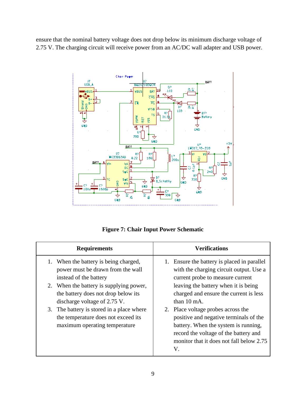ensure that the nominal battery voltage does not drop below its minimum discharge voltage of 2.75 V. The charging circuit will receive power from an AC/DC wall adapter and USB power.



**Figure 7: Chair Input Power Schematic**

| <b>Requirements</b>                                                                                                                                                                                                                                                                                                                         | <b>Verifications</b>                                                                                                                                                                                                                                                                                                                                                                                                                                      |
|---------------------------------------------------------------------------------------------------------------------------------------------------------------------------------------------------------------------------------------------------------------------------------------------------------------------------------------------|-----------------------------------------------------------------------------------------------------------------------------------------------------------------------------------------------------------------------------------------------------------------------------------------------------------------------------------------------------------------------------------------------------------------------------------------------------------|
| 1. When the battery is being charged,<br>power must be drawn from the wall<br>instead of the battery<br>2. When the battery is supplying power,<br>the battery does not drop below its<br>discharge voltage of 2.75 V.<br>3. The battery is stored in a place where<br>the temperature does not exceed its<br>maximum operating temperature | 1. Ensure the battery is placed in parallel<br>with the charging circuit output. Use a<br>current probe to measure current<br>leaving the battery when it is being<br>charged and ensure the current is less<br>than $10 \text{ mA}$ .<br>2. Place voltage probes across the<br>positive and negative terminals of the<br>battery. When the system is running,<br>record the voltage of the battery and<br>monitor that it does not fall below 2.75<br>V. |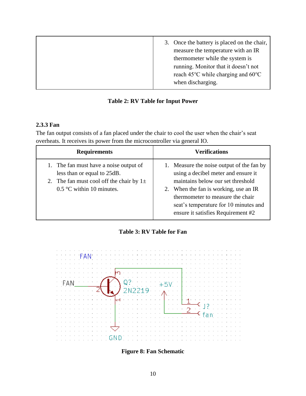|  |  | 3. Once the battery is placed on the chair,<br>measure the temperature with an IR<br>thermometer while the system is<br>running. Monitor that it doesn't not<br>reach 45 $\rm{^{\circ}C}$ while charging and 60 $\rm{^{\circ}C}$<br>when discharging. |
|--|--|-------------------------------------------------------------------------------------------------------------------------------------------------------------------------------------------------------------------------------------------------------|
|--|--|-------------------------------------------------------------------------------------------------------------------------------------------------------------------------------------------------------------------------------------------------------|

#### **Table 2: RV Table for Input Power**

### **2.3.3 Fan**

The fan output consists of a fan placed under the chair to cool the user when the chair's seat overheats. It receives its power from the microcontroller via general IO.

| <b>Requirements</b>                                                                                                                                  | <b>Verifications</b>                                                                                                                                                                                                                                                              |
|------------------------------------------------------------------------------------------------------------------------------------------------------|-----------------------------------------------------------------------------------------------------------------------------------------------------------------------------------------------------------------------------------------------------------------------------------|
| 1. The fan must have a noise output of<br>less than or equal to 25dB.<br>2. The fan must cool off the chair by $1\pm$<br>$0.5$ °C within 10 minutes. | 1. Measure the noise output of the fan by<br>using a decibel meter and ensure it<br>maintains below our set threshold<br>2. When the fan is working, use an IR<br>thermometer to measure the chair<br>seat's temperature for 10 minutes and<br>ensure it satisfies Requirement #2 |

#### **Table 3: RV Table for Fan**



**Figure 8: Fan Schematic**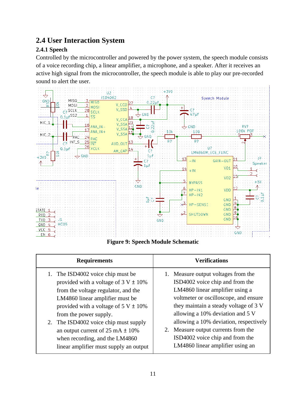## **2.4 User Interaction System**

## **2.4.1 Speech**

Controlled by the microcontroller and powered by the power system, the speech module consists of a voice recording chip, a linear amplifier, a microphone, and a speaker. After it receives an active high signal from the microcontroller, the speech module is able to play our pre-recorded sound to alert the user.



**Figure 9: Speech Module Schematic**

| <b>Requirements</b>                               | <b>Verifications</b>                   |
|---------------------------------------------------|----------------------------------------|
| 1. The ISD4002 voice chip must be                 | 1. Measure output voltages from the    |
| provided with a voltage of $3 \text{ V} \pm 10\%$ | ISD4002 voice chip and from the        |
| from the voltage regulator, and the               | LM4860 linear amplifier using a        |
| LM4860 linear amplifier must be                   | voltmeter or oscilloscope, and ensure  |
| provided with a voltage of $5 \text{ V} \pm 10\%$ | they maintain a steady voltage of 3 V  |
| from the power supply.                            | allowing a 10% deviation and 5 V       |
| 2. The ISD4002 voice chip must supply             | allowing a 10% deviation, respectively |
| an output current of $25 \text{ mA} \pm 10\%$     | 2. Measure output currents from the    |
| when recording, and the LM4860                    | ISD4002 voice chip and from the        |
| linear amplifier must supply an output            | LM4860 linear amplifier using an       |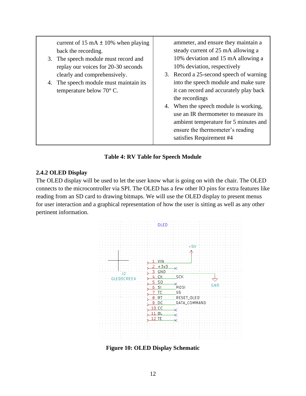| current of 15 mA $\pm$ 10% when playing<br>back the recording.<br>3. The speech module must record and<br>replay our voices for 20-30 seconds<br>clearly and comprehensively.<br>4. The speech module must maintain its<br>temperature below $70^{\circ}$ C. | ammeter, and ensure they maintain a<br>steady current of 25 mA allowing a<br>10% deviation and 15 mA allowing a<br>10% deviation, respectively<br>3. Record a 25-second speech of warning<br>into the speech module and make sure<br>it can record and accurately play back<br>the recordings<br>4. When the speech module is working,<br>use an IR thermometer to measure its<br>ambient temperature for 5 minutes and<br>ensure the thermometer's reading<br>satisfies Requirement #4 |
|--------------------------------------------------------------------------------------------------------------------------------------------------------------------------------------------------------------------------------------------------------------|-----------------------------------------------------------------------------------------------------------------------------------------------------------------------------------------------------------------------------------------------------------------------------------------------------------------------------------------------------------------------------------------------------------------------------------------------------------------------------------------|
|--------------------------------------------------------------------------------------------------------------------------------------------------------------------------------------------------------------------------------------------------------------|-----------------------------------------------------------------------------------------------------------------------------------------------------------------------------------------------------------------------------------------------------------------------------------------------------------------------------------------------------------------------------------------------------------------------------------------------------------------------------------------|

#### **Table 4: RV Table for Speech Module**

#### **2.4.2 OLED Display**

The OLED display will be used to let the user know what is going on with the chair. The OLED connects to the microcontroller via SPI. The OLED has a few other IO pins for extra features like reading from an SD card to drawing bitmaps. We will use the OLED display to present menus for user interaction and a graphical representation of how the user is sitting as well as any other pertinent information.



**Figure 10: OLED Display Schematic**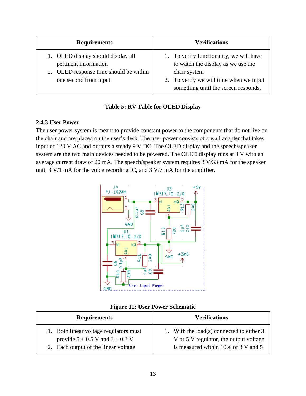| <b>Requirements</b>                                                                                                            | <b>Verifications</b>                                                                                                                                                              |
|--------------------------------------------------------------------------------------------------------------------------------|-----------------------------------------------------------------------------------------------------------------------------------------------------------------------------------|
| 1. OLED display should display all<br>pertinent information<br>2. OLED response time should be within<br>one second from input | 1. To verify functionality, we will have<br>to watch the display as we use the<br>chair system<br>2. To verify we will time when we input<br>something until the screen responds. |

|  |  |  |  |  | <b>Table 5: RV Table for OLED Display</b> |
|--|--|--|--|--|-------------------------------------------|
|--|--|--|--|--|-------------------------------------------|

#### **2.4.3 User Power**

The user power system is meant to provide constant power to the components that do not live on the chair and are placed on the user's desk. The user power consists of a wall adapter that takes input of 120 V AC and outputs a steady 9 V DC. The OLED display and the speech/speaker system are the two main devices needed to be powered. The OLED display runs at 3 V with an average current draw of 20 mA. The speech/speaker system requires 3 V/33 mA for the speaker unit, 3 V/1 mA for the voice recording IC, and 3 V/7 mA for the amplifier.



|  |  | <b>Figure 11: User Power Schematic</b> |
|--|--|----------------------------------------|
|  |  |                                        |

| <b>Requirements</b>                                                               | <b>Verifications</b>                                                                  |
|-----------------------------------------------------------------------------------|---------------------------------------------------------------------------------------|
| 1. Both linear voltage regulators must<br>provide $5 \pm 0.5$ V and $3 \pm 0.3$ V | 1. With the load(s) connected to either $3$<br>V or 5 V regulator, the output voltage |
| 2. Each output of the linear voltage                                              | is measured within 10% of $3 \text{ V}$ and $5 \text{ V}$                             |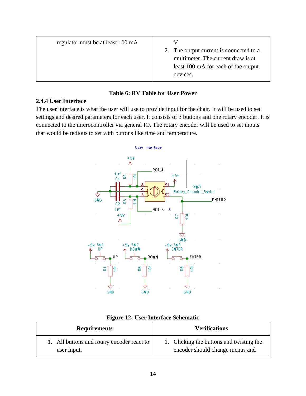| regulator must be at least 100 mA | 2. The output current is connected to a<br>multimeter. The current draw is at<br>least 100 mA for each of the output<br>devices. |
|-----------------------------------|----------------------------------------------------------------------------------------------------------------------------------|
|-----------------------------------|----------------------------------------------------------------------------------------------------------------------------------|

#### **Table 6: RV Table for User Power**

#### **2.4.4 User Interface**

The user interface is what the user will use to provide input for the chair. It will be used to set settings and desired parameters for each user. It consists of 3 buttons and one rotary encoder. It is connected to the microcontroller via general IO. The rotary encoder will be used to set inputs that would be tedious to set with buttons like time and temperature.



|  |  | Figure 12: User Interface Schematic |
|--|--|-------------------------------------|
|  |  |                                     |

| <b>Requirements</b>                        | <b>Verifications</b>                     |  |
|--------------------------------------------|------------------------------------------|--|
| 1. All buttons and rotary encoder react to | 1. Clicking the buttons and twisting the |  |
| user input.                                | encoder should change menus and          |  |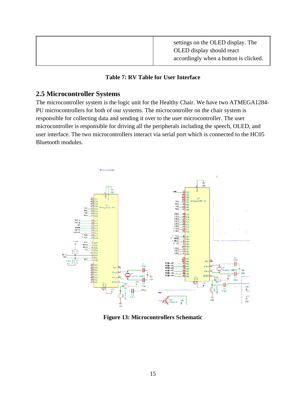|  | settings on the OLED display. The<br>OLED display should react<br>accordingly when a button is clicked. |  |
|--|---------------------------------------------------------------------------------------------------------|--|
|  |                                                                                                         |  |

#### **Table 7: RV Table for User Interface**

## **2.5 Microcontroller Systems**

The microcontroller system is the logic unit for the Healthy Chair. We have two ATMEGA1284- PU microcontrollers for both of our systems. The microcontroller on the chair system is responsible for collecting data and sending it over to the user microcontroller. The user microcontroller is responsible for driving all the peripherals including the speech, OLED, and user interface. The two microcontrollers interact via serial port which is connected to the HC05 Bluetooth modules.



**Figure 13: Microcontrollers Schematic**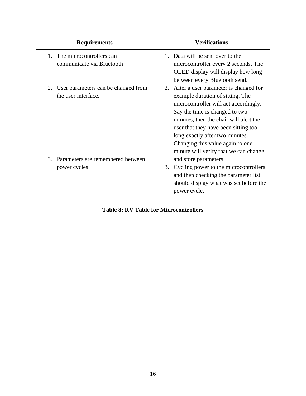| <b>Requirements</b>                                                                                   | <b>Verifications</b>                                                                                                                                                                                                                                                                                                                                                               |  |  |
|-------------------------------------------------------------------------------------------------------|------------------------------------------------------------------------------------------------------------------------------------------------------------------------------------------------------------------------------------------------------------------------------------------------------------------------------------------------------------------------------------|--|--|
| The microcontrollers can<br>$1_{-}$<br>communicate via Bluetooth                                      | 1. Data will be sent over to the<br>microcontroller every 2 seconds. The<br>OLED display will display how long<br>between every Bluetooth send.                                                                                                                                                                                                                                    |  |  |
| User parameters can be changed from<br>the user interface.<br>Parameters are remembered between<br>3. | 2. After a user parameter is changed for<br>example duration of sitting. The<br>microcontroller will act accordingly.<br>Say the time is changed to two<br>minutes, then the chair will alert the<br>user that they have been sitting too<br>long exactly after two minutes.<br>Changing this value again to one<br>minute will verify that we can change<br>and store parameters. |  |  |
| power cycles                                                                                          | 3. Cycling power to the microcontrollers<br>and then checking the parameter list<br>should display what was set before the<br>power cycle.                                                                                                                                                                                                                                         |  |  |

**Table 8: RV Table for Microcontrollers**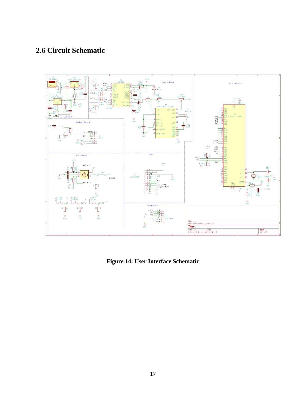## **2.6 Circuit Schematic**



**Figure 14: User Interface Schematic**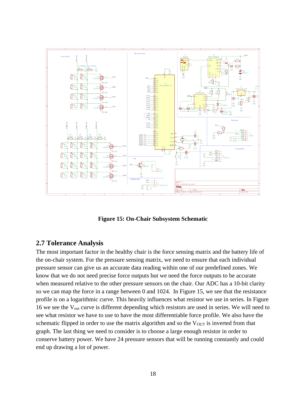

**Figure 15: On-Chair Subsystem Schematic**

#### **2.7 Tolerance Analysis**

The most important factor in the healthy chair is the force sensing matrix and the battery life of the on-chair system. For the pressure sensing matrix, we need to ensure that each individual pressure sensor can give us an accurate data reading within one of our predefined zones. We know that we do not need precise force outputs but we need the force outputs to be accurate when measured relative to the other pressure sensors on the chair. Our ADC has a 10-bit clarity so we can map the force in a range between 0 and 1024. In Figure 15, we see that the resistance profile is on a logarithmic curve. This heavily influences what resistor we use in series. In Figure 16 we see the Vout curve is different depending which resistors are used in series. We will need to see what resistor we have to use to have the most differentiable force profile. We also have the schematic flipped in order to use the matrix algorithm and so the  $V_{OUT}$  is inverted from that graph. The last thing we need to consider is to choose a large enough resistor in order to conserve battery power. We have 24 pressure sensors that will be running constantly and could end up drawing a lot of power.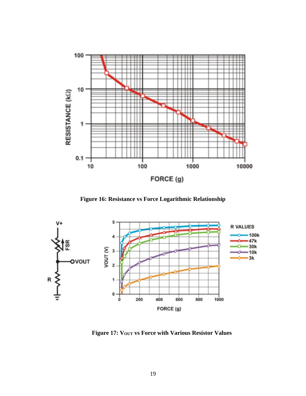

**Figure 16: Resistance vs Force Logarithmic Relationship**

![](_page_19_Figure_2.jpeg)

**Figure 17: VOUT vs Force with Various Resistor Values**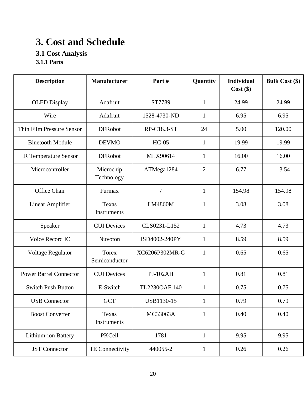# **3. Cost and Schedule**

## **3.1 Cost Analysis**

**3.1.1 Parts**

| <b>Description</b>            | <b>Manufacturer</b>           | Part#           | Quantity       | <b>Individual</b><br>$Cost$ (\$) | <b>Bulk Cost (\$)</b> |
|-------------------------------|-------------------------------|-----------------|----------------|----------------------------------|-----------------------|
| <b>OLED</b> Display           | Adafruit                      | ST7789          | 1              | 24.99                            | 24.99                 |
| Wire                          | Adafruit                      | 1528-4730-ND    | $\mathbf{1}$   | 6.95                             | 6.95                  |
| Thin Film Pressure Sensor     | <b>DFRobot</b>                | RP-C18.3-ST     | 24             | 5.00                             | 120.00                |
| <b>Bluetooth Module</b>       | <b>DEVMO</b>                  | $HC-05$         | $\mathbf{1}$   | 19.99                            | 19.99                 |
| <b>IR Temperature Sensor</b>  | <b>DFRobot</b>                | MLX90614        | $\mathbf{1}$   | 16.00                            | 16.00                 |
| Microcontroller               | Microchip<br>Technology       | ATMega1284      | $\overline{2}$ | 6.77                             | 13.54                 |
| Office Chair                  | Furmax                        |                 | $\mathbf{1}$   | 154.98                           | 154.98                |
| Linear Amplifier              | Texas<br><b>Instruments</b>   | <b>LM4860M</b>  | 1              | 3.08                             | 3.08                  |
| Speaker                       | <b>CUI Devices</b>            | CLS0231-L152    | $\mathbf{1}$   | 4.73                             | 4.73                  |
| Voice Record IC               | Nuvoton                       | ISD4002-240PY   | $\mathbf{1}$   | 8.59                             | 8.59                  |
| Voltage Regulator             | <b>Torex</b><br>Semiconductor | XC6206P302MR-G  | $\mathbf{1}$   | 0.65                             | 0.65                  |
| <b>Power Barrel Connector</b> | <b>CUI Devices</b>            | <b>PJ-102AH</b> | $\mathbf{1}$   | 0.81                             | 0.81                  |
| <b>Switch Push Button</b>     | E-Switch                      | TL2230OAF 140   | $\mathbf{1}$   | 0.75                             | 0.75                  |
| <b>USB</b> Connector          | <b>GCT</b>                    | USB1130-15      | $\mathbf{1}$   | 0.79                             | 0.79                  |
| <b>Boost Converter</b>        | Texas<br>Instruments          | MC33063A        | $\mathbf{1}$   | 0.40                             | 0.40                  |
| Lithium-ion Battery           | PKCell                        | 1781            | $\mathbf{1}$   | 9.95                             | 9.95                  |
| <b>JST</b> Connector          | TE Connectivity               | 440055-2        | $\mathbf{1}$   | 0.26                             | 0.26                  |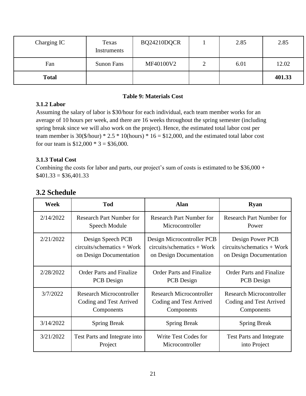| Charging IC  | Texas<br>Instruments | BQ24210DQCR | 2.85 | 2.85   |
|--------------|----------------------|-------------|------|--------|
| Fan          | Sunon Fans           | MF40100V2   | 6.01 | 12.02  |
| <b>Total</b> |                      |             |      | 401.33 |

#### **Table 9: Materials Cost**

#### **3.1.2 Labor**

Assuming the salary of labor is \$30/hour for each individual, each team member works for an average of 10 hours per week, and there are 16 weeks throughout the spring semester (including spring break since we will also work on the project). Hence, the estimated total labor cost per team member is  $30(\frac{5}{hour}) * 2.5 * 10(hours) * 16 = $12,000$ , and the estimated total labor cost for our team is  $$12,000 * 3 = $36,000$ .

#### **3.1.3 Total Cost**

Combining the costs for labor and parts, our project's sum of costs is estimated to be \$36,000 +  $$401.33 = $36,401.33$ 

| Week      | <b>Tod</b>                      | <b>Alan</b>                     | <b>Ryan</b>                     |
|-----------|---------------------------------|---------------------------------|---------------------------------|
| 2/14/2022 | <b>Research Part Number for</b> | <b>Research Part Number for</b> | <b>Research Part Number for</b> |
|           | Speech Module                   | Microcontroller                 | Power                           |
| 2/21/2022 | Design Speech PCB               | Design Microcontroller PCB      | Design Power PCB                |
|           | $circuits/schemistry + Work$    | $circuits/schemistry + Work$    | $circuits/schemistry + Work$    |
|           | on Design Documentation         | on Design Documentation         | on Design Documentation         |
| 2/28/2022 | <b>Order Parts and Finalize</b> | <b>Order Parts and Finalize</b> | <b>Order Parts and Finalize</b> |
|           | PCB Design                      | PCB Design                      | PCB Design                      |
| 3/7/2022  | <b>Research Microcontroller</b> | <b>Research Microcontroller</b> | <b>Research Microcontroller</b> |
|           | Coding and Test Arrived         | Coding and Test Arrived         | Coding and Test Arrived         |
|           | Components                      | Components                      | Components                      |
| 3/14/2022 | <b>Spring Break</b>             | <b>Spring Break</b>             | <b>Spring Break</b>             |
| 3/21/2022 | Test Parts and Integrate into   | Write Test Codes for            | <b>Test Parts and Integrate</b> |
|           | Project                         | Microcontroller                 | into Project                    |

## **3.2 Schedule**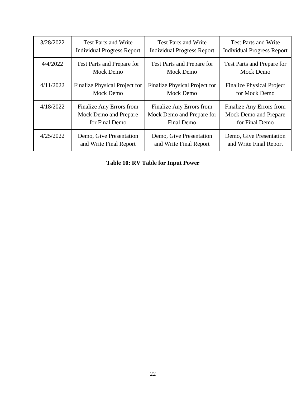| 3/28/2022 | <b>Test Parts and Write</b>       | <b>Test Parts and Write</b>       | <b>Test Parts and Write</b>       |
|-----------|-----------------------------------|-----------------------------------|-----------------------------------|
|           | <b>Individual Progress Report</b> | <b>Individual Progress Report</b> | <b>Individual Progress Report</b> |
| 4/4/2022  | Test Parts and Prepare for        | Test Parts and Prepare for        | Test Parts and Prepare for        |
|           | Mock Demo                         | <b>Mock Demo</b>                  | Mock Demo                         |
| 4/11/2022 | Finalize Physical Project for     | Finalize Physical Project for     | <b>Finalize Physical Project</b>  |
|           | Mock Demo                         | Mock Demo                         | for Mock Demo                     |
| 4/18/2022 | Finalize Any Errors from          | Finalize Any Errors from          | Finalize Any Errors from          |
|           | Mock Demo and Prepare             | Mock Demo and Prepare for         | Mock Demo and Prepare             |
|           | for Final Demo                    | <b>Final Demo</b>                 | for Final Demo                    |
| 4/25/2022 | Demo, Give Presentation           | Demo, Give Presentation           | Demo, Give Presentation           |
|           | and Write Final Report            | and Write Final Report            | and Write Final Report            |

## **Table 10: RV Table for Input Power**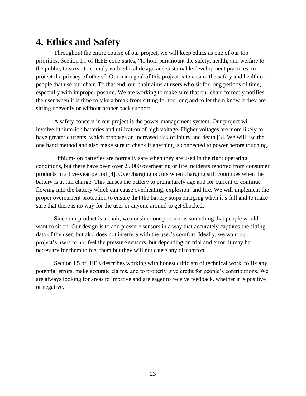## **4. Ethics and Safety**

Throughout the entire course of our project, we will keep ethics as one of our top priorities. Section I.1 of IEEE code states, "to hold paramount the safety, health, and welfare to the public, to strive to comply with ethical design and sustainable development practices, to protect the privacy of others". Our main goal of this project is to ensure the safety and health of people that use our chair. To that end, our chair aims at users who sit for long periods of time, especially with improper posture. We are working to make sure that our chair correctly notifies the user when it is time to take a break from sitting for too long and to let them know if they are sitting unevenly or without proper back support.

A safety concern in our project is the power management system. Our project will involve lithium-ion batteries and utilization of high voltage. Higher voltages are more likely to have greater currents, which proposes an increased risk of injury and death [3]. We will use the one hand method and also make sure to check if anything is connected to power before touching.

Lithium-ion batteries are normally safe when they are used in the right operating conditions, but there have been over 25,000 overheating or fire incidents reported from consumer products in a five-year period [4]. Overcharging occurs when charging still continues when the battery is at full charge. This causes the battery to prematurely age and for current to continue flowing into the battery which can cause overheating, explosion, and fire. We will implement the proper overcurrent protection to ensure that the battery stops charging when it's full and to make sure that there is no way for the user or anyone around to get shocked.

Since our product is a chair, we consider our product as something that people would want to sit on. Our design is to add pressure sensors in a way that accurately captures the sitting data of the user, but also does not interfere with the user's comfort. Ideally, we want our project's users to not feel the pressure sensors, but depending on trial and error, it may be necessary for them to feel them but they will not cause any discomfort.

Section I.5 of IEEE describes working with honest criticism of technical work, to fix any potential errors, make accurate claims, and to properly give credit for people's contributions. We are always looking for areas to improve and are eager to receive feedback, whether it is positive or negative.